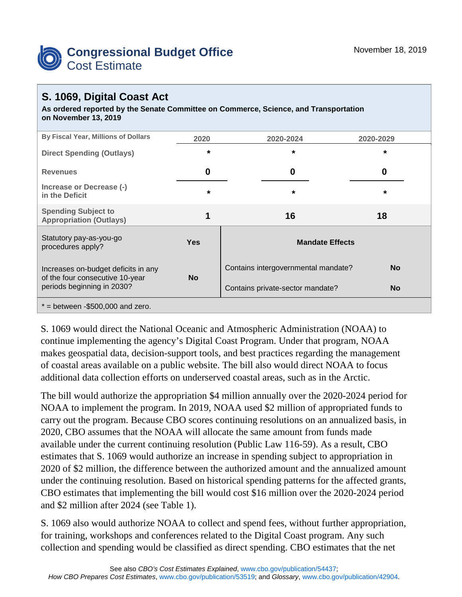

## **S. 1069, Digital Coast Act**

**As ordered reported by the Senate Committee on Commerce, Science, and Transportation on November 13, 2019**

| By Fiscal Year, Millions of Dollars                                    | 2020       | 2020-2024                           | 2020-2029 |  |
|------------------------------------------------------------------------|------------|-------------------------------------|-----------|--|
| <b>Direct Spending (Outlays)</b>                                       | $\star$    | $\star$                             | $\star$   |  |
| <b>Revenues</b>                                                        | 0          | 0                                   | 0         |  |
| Increase or Decrease (-)<br>in the Deficit                             | $\star$    | $\star$                             | $\star$   |  |
| <b>Spending Subject to</b><br><b>Appropriation (Outlays)</b>           |            | 16                                  | 18        |  |
| Statutory pay-as-you-go<br>procedures apply?                           | <b>Yes</b> | <b>Mandate Effects</b>              |           |  |
| Increases on-budget deficits in any<br>of the four consecutive 10-year | <b>No</b>  | Contains intergovernmental mandate? | <b>No</b> |  |
| periods beginning in 2030?                                             |            | Contains private-sector mandate?    | <b>No</b> |  |
| $*$ = between -\$500,000 and zero.                                     |            |                                     |           |  |

S. 1069 would direct the National Oceanic and Atmospheric Administration (NOAA) to continue implementing the agency's Digital Coast Program. Under that program, NOAA makes geospatial data, decision-support tools, and best practices regarding the management of coastal areas available on a public website. The bill also would direct NOAA to focus additional data collection efforts on underserved coastal areas, such as in the Arctic.

The bill would authorize the appropriation \$4 million annually over the 2020-2024 period for NOAA to implement the program. In 2019, NOAA used \$2 million of appropriated funds to carry out the program. Because CBO scores continuing resolutions on an annualized basis, in 2020, CBO assumes that the NOAA will allocate the same amount from funds made available under the current continuing resolution (Public Law 116-59). As a result, CBO estimates that S. 1069 would authorize an increase in spending subject to appropriation in 2020 of \$2 million, the difference between the authorized amount and the annualized amount under the continuing resolution. Based on historical spending patterns for the affected grants, CBO estimates that implementing the bill would cost \$16 million over the 2020-2024 period and \$2 million after 2024 (see Table 1).

S. 1069 also would authorize NOAA to collect and spend fees, without further appropriation, for training, workshops and conferences related to the Digital Coast program. Any such collection and spending would be classified as direct spending. CBO estimates that the net